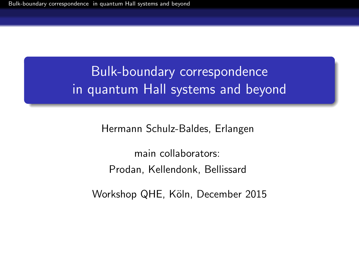# <span id="page-0-0"></span>Bulk-boundary correspondence in quantum Hall systems and beyond

Hermann Schulz-Baldes, Erlangen

main collaborators: Prodan, Kellendonk, Bellissard

Workshop QHE, Köln, December 2015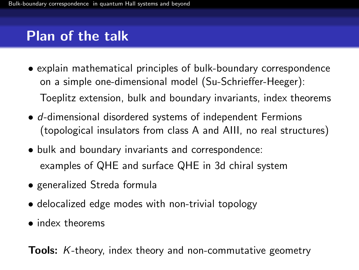## Plan of the talk

- explain mathematical principles of bulk-boundary correspondence on a simple one-dimensional model (Su-Schrieffer-Heeger): Toeplitz extension, bulk and boundary invariants, index theorems
- d-dimensional disordered systems of independent Fermions (topological insulators from class A and AIII, no real structures)
- bulk and boundary invariants and correspondence: examples of QHE and surface QHE in 3d chiral system
- generalized Streda formula
- delocalized edge modes with non-trivial topology
- index theorems

Tools: K-theory, index theory and non-commutative geometry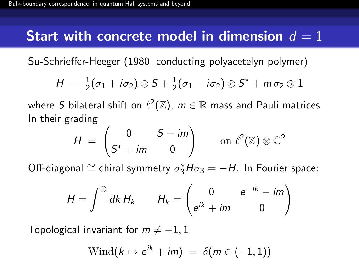## Start with concrete model in dimension  $d=1$

Su-Schrieffer-Heeger (1980, conducting polyacetelyn polymer)

$$
H = \frac{1}{2}(\sigma_1 + i\sigma_2) \otimes S + \frac{1}{2}(\sigma_1 - i\sigma_2) \otimes S^* + m\sigma_2 \otimes \mathbf{1}
$$

where  $S$  bilateral shift on  $\ell^2(\mathbb{Z}),\ m\in \mathbb{R}$  mass and Pauli matrices. In their grading

$$
H = \begin{pmatrix} 0 & S - im \\ S^* + im & 0 \end{pmatrix} \quad \text{on } \ell^2(\mathbb{Z}) \otimes \mathbb{C}^2
$$

Off-diagonal  $\cong$  chiral symmetry  $\sigma_3^* H \sigma_3 = -H$ . In Fourier space:

$$
H = \int^{\oplus} dk \, H_k \qquad H_k = \begin{pmatrix} 0 & e^{-ik} - im \\ e^{ik} + im & 0 \end{pmatrix}
$$

Topological invariant for  $m \neq -1, 1$ 

$$
\text{Wind}(k \mapsto e^{ik} + im) = \delta(m \in (-1, 1))
$$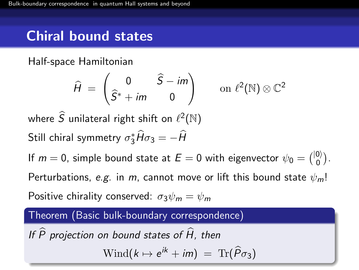## Chiral bound states

Half-space Hamiltonian

$$
\widehat{H} = \begin{pmatrix} 0 & \widehat{S} - im \\ \widehat{S}^* + im & 0 \end{pmatrix} \quad \text{on } \ell^2(\mathbb{N}) \otimes \mathbb{C}^2
$$

where  $\widehat{S}$  unilateral right shift on  $\ell^2(\mathbb{N})$ Still chiral symmetry  $\sigma_3^* \hat{H} \sigma_3 = -\hat{H}$ 

If  $m=0$ , simple bound state at  $E=0$  with eigenvector  $\psi_0 = \binom{|0\rangle}{0}$  $\binom{0}{0}$ . Perturbations, e.g. in m, cannot move or lift this bound state  $\psi_m!$ Positive chirality conserved:  $\sigma_3\psi_m = \psi_m$ 

#### Theorem (Basic bulk-boundary correspondence)

If  $\widehat{P}$  projection on bound states of  $\widehat{H}$ , then

 $\text{Wind}(k \mapsto e^{ik} + im) = \text{Tr}(\widehat{P}\sigma_3)$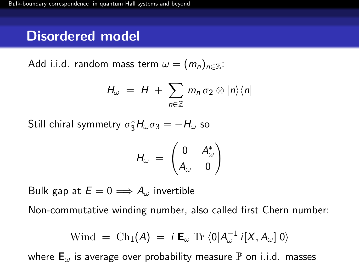### Disordered model

Add i.i.d. random mass term  $\omega = (m_n)_{n \in \mathbb{Z}}$ :

$$
H_{\omega} = H + \sum_{n \in \mathbb{Z}} m_n \sigma_2 \otimes |n\rangle\langle n|
$$

Still chiral symmetry  $\sigma_3^* H_\omega \sigma_3 = -H_\omega$  so

$$
H_{\omega} = \begin{pmatrix} 0 & A_{\omega}^* \\ A_{\omega} & 0 \end{pmatrix}
$$

Bulk gap at  $E = 0 \Longrightarrow A_{\omega}$  invertible

Non-commutative winding number, also called first Chern number:

$$
Wind = Ch_1(A) = i \mathbf{E}_{\omega} \operatorname{Tr} \langle 0 | A_{\omega}^{-1} i[X, A_{\omega}] | 0 \rangle
$$

where  $\mathbf{E}_{\omega}$  is average over probability measure  $\mathbb{P}$  on i.i.d. masses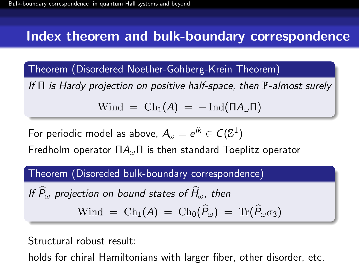### Index theorem and bulk-boundary correspondence

Theorem (Disordered Noether-Gohberg-Krein Theorem)

If  $\Pi$  is Hardy projection on positive half-space, then  $\mathbb P$ -almost surely

$$
W\text{ind} = \text{Ch}_1(A) = -\text{Ind}(\Pi A_{\omega} \Pi)
$$

For periodic model as above,  $A_\omega=e^{ik}\in\mathcal{C}(\mathbb{S}^1)$ 

Fredholm operator  $\Pi A_{\omega} \Pi$  is then standard Toeplitz operator

Theorem (Disoreded bulk-boundary correspondence)

If 
$$
\hat{P}_{\omega}
$$
 projection on bound states of  $\hat{H}_{\omega}$ , then  
Wind =  $\text{Ch}_1(A) = \text{Ch}_0(\hat{P}_{\omega}) = \text{Tr}(\hat{P}_{\omega}\sigma_3)$ 

Structural robust result:

holds for chiral Hamiltonians with larger fiber, other disorder, etc.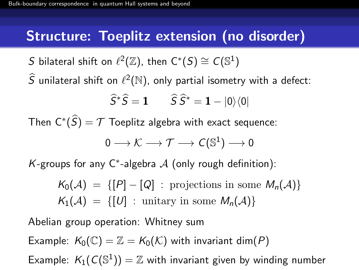### Structure: Toeplitz extension (no disorder)

S bilateral shift on  $\ell^2(\mathbb{Z})$ , then  $\mathsf{C}^*(S) \cong \mathsf{C}(\mathbb{S}^1)$ 

 $\widehat{S}$  unilateral shift on  $\ell^2(\mathbb{N})$ , only partial isometry with a defect:

$$
\widehat{S}^*\widehat{S} = \mathbf{1} \qquad \widehat{S}\widehat{S}^* = \mathbf{1} - |0\rangle\langle 0|
$$

Then  $\mathsf{C}^*(\widehat{\mathsf{S}}) = \mathcal{T}$  Toeplitz algebra with exact sequence:

$$
0\longrightarrow {\cal K}\longrightarrow {\cal T}\longrightarrow {\cal C}(\mathbb{S}^1)\longrightarrow 0
$$

K-groups for any C<sup>\*</sup>-algebra  $A$  (only rough definition):

 $K_0(\mathcal{A}) = \{ [P] - [Q] : \text{projections in some } M_n(\mathcal{A}) \}$  $K_1(\mathcal{A}) = \{ [U] : \text{unitary in some } M_n(\mathcal{A}) \}$ 

Abelian group operation: Whitney sum

Example:  $K_0(\mathbb{C}) = \mathbb{Z} = K_0(\mathcal{K})$  with invariant dim(P)

Example:  $K_1(\mathcal{C}(\mathbb{S}^1)) = \mathbb{Z}$  with invariant given by winding number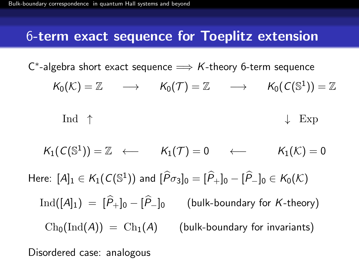#### 6-term exact sequence for Toeplitz extension

 $\mathsf{C}^*$ -algebra short exact sequence  $\Longrightarrow$  K-theory 6-term sequence

$$
\mathcal{K}_0(\mathcal{K}) = \mathbb{Z} \qquad \longrightarrow \qquad \mathcal{K}_0(\mathcal{T}) = \mathbb{Z} \qquad \longrightarrow \qquad \mathcal{K}_0(\mathcal{C}(\mathbb{S}^1)) = \mathbb{Z}
$$

$$
\begin{array}{ccc}\n\text{Ind} & \uparrow & & \downarrow & \text{Exp}\n\end{array}
$$

$$
K_1(C(\mathbb{S}^1)) = \mathbb{Z} \leftarrow K_1(\mathcal{T}) = 0 \leftarrow K_1(\mathcal{K}) = 0
$$
  
Here:  $[A]_1 \in K_1(C(\mathbb{S}^1))$  and  $[\hat{P}\sigma_3]_0 = [\hat{P}_+]_0 - [\hat{P}_-]_0 \in K_0(\mathcal{K})$   
 $Ind([A]_1) = [\hat{P}_+]_0 - [\hat{P}_-]_0$  (bulk-boundary for K-theory)  
 $Ch_0(Ind(A)) = Ch_1(A)$  (bulk-boundary for invariants)

Disordered case: analogous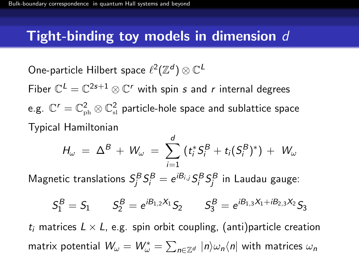### Tight-binding toy models in dimension  $d$

One-particle Hilbert space  $\ell^2({\mathbb Z}^d)\otimes {\mathbb C}^L$ Fiber  $\mathbb{C}^{L}=\mathbb{C}^{2s+1}\otimes \mathbb{C}^r$  with spin s and r internal degrees e.g.  $\mathbb{C}^{r}=\mathbb{C}_{\textrm{\tiny ph}}^{2}\otimes\mathbb{C}_{\textrm{\tiny sl}}^{2}$  particle-hole space and sublattice space Typical Hamiltonian

$$
H_{\omega} = \Delta^{B} + W_{\omega} = \sum_{i=1}^{d} (t_{i}^{*} S_{i}^{B} + t_{i} (S_{i}^{B})^{*}) + W_{\omega}
$$

Magnetic translations  $S_j^B S_i^B = e^{iB_{i,j}} S_i^B S_j^B$  in Laudau gauge:

$$
\mathcal{S}^{\mathcal{B}}_1 = \mathcal{S}_1 \qquad \mathcal{S}^{\mathcal{B}}_2 = e^{i\mathcal{B}_{1,2}\mathcal{X}_1} \mathcal{S}_2 \qquad \mathcal{S}^{\mathcal{B}}_3 = e^{i\mathcal{B}_{1,3}\mathcal{X}_1 + i\mathcal{B}_{2,3}\mathcal{X}_2} \mathcal{S}_3
$$

 $t_i$  matrices  $L \times L$ , e.g. spin orbit coupling, (anti)particle creation matrix potential  $\mathcal{W}_\omega = \mathcal{W}_\omega^* = \sum_{n \in \mathbb{Z}^d} ~|n\rangle \omega_n \langle n|$  with matrices  $\omega_n$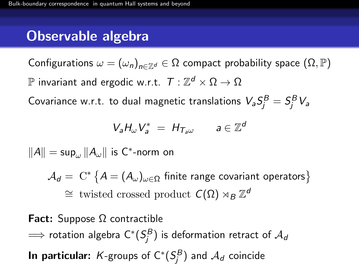## Observable algebra

Configurations  $\omega = (\omega_n)_{n \in \mathbb{Z}^d} \in \Omega$  compact probability space  $(\Omega, \mathbb{P})$  ${\mathbb P}$  invariant and ergodic w.r.t.  $\mathcal{T}:\mathbb Z^d \times \Omega \to \Omega$ 

Covariance w.r.t. to dual magnetic translations  $\mathcal{V}_a S^B_j = S^B_j \mathcal{V}_a$ 

$$
V_a H_{\omega} V_a^* = H_{T_a \omega} \qquad a \in \mathbb{Z}^d
$$

 $\|A\| = \sup_\omega \|A_\omega\|$  is C $^*$ -norm on

 $\mathcal{A}_d = \ \mathrm{C}^* \left\{ A = (A_\omega)_{\omega \in \Omega} \ \text{finite range covariant operators} \right\}$  $\cong$  twisted crossed product  $C(Ω) \rtimes_B \mathbb{Z}^d$ 

Fact: Suppose Ω contractible  $\implies$  rotation algebra  $\mathsf{C}^*(\mathsf{S}_{\!j}^B)$  is deformation retract of  $\mathcal{A}_{\sf d}$ **In particular:**  $K$ -groups of  $\mathsf{C}^*(S^B_j)$  and  $\mathcal{A}_d$  coincide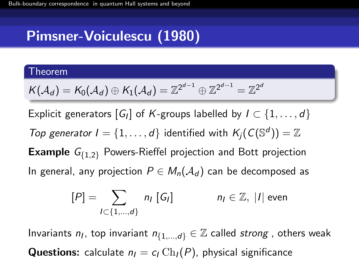# Pimsner-Voiculescu (1980)

#### Theorem

$$
\mathcal{K}(\mathcal{A}_d)=\mathcal{K}_0(\mathcal{A}_d)\oplus\mathcal{K}_1(\mathcal{A}_d)=\mathbb{Z}^{2^{d-1}}\oplus\mathbb{Z}^{2^{d-1}}=\mathbb{Z}^{2^d}
$$

Explicit generators  $[G_I]$  of K-groups labelled by  $I \subset \{1,\ldots,d\}$ Top generator  $I = \{1, ..., d\}$  identified with  $K_j(C(\mathbb{S}^d)) = \mathbb{Z}$ **Example**  $G_{\{1,2\}}$  Powers-Rieffel projection and Bott projection In general, any projection  $P \in M_n(\mathcal{A}_d)$  can be decomposed as

$$
[P] = \sum_{I \subset \{1,\dots,d\}} n_I [G_I] \qquad n_I \in \mathbb{Z}, |I| \text{ even}
$$

Invariants  $n_l$ , top invariant  $n_{\{1,\ldots,d\}} \in \mathbb{Z}$  called strong, others weak **Questions:** calculate  $n_1 = c_1 Ch_1(P)$ , physical significance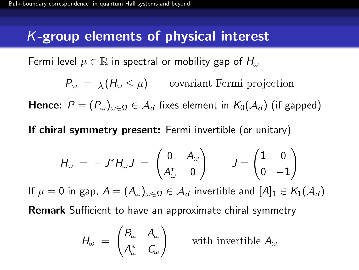## K-group elements of physical interest

Fermi level  $\mu \in \mathbb{R}$  in spectral or mobility gap of  $H_{\omega}$ 

 $P_{\omega} = \chi(H_{\omega} \leq \mu)$  covariant Fermi projection

**Hence:**  $P = (P_{\omega})_{\omega \in \Omega} \in \mathcal{A}_d$  fixes element in  $K_0(\mathcal{A}_d)$  (if gapped)

If chiral symmetry present: Fermi invertible (or unitary)

$$
H_{\omega} = -J^*H_{\omega}J = \begin{pmatrix} 0 & A_{\omega} \\ A_{\omega}^* & 0 \end{pmatrix} \qquad J = \begin{pmatrix} 1 & 0 \\ 0 & -1 \end{pmatrix}
$$

If  $\mu = 0$  in gap,  $A = (A_{\omega})_{\omega \in \Omega} \in \mathcal{A}_d$  invertible and  $[A]_1 \in \mathcal{K}_1(\mathcal{A}_d)$ 

Remark Sufficient to have an approximate chiral symmetry

$$
H_{\omega} = \begin{pmatrix} B_{\omega} & A_{\omega} \\ A_{\omega}^* & C_{\omega} \end{pmatrix}
$$

with invertible  $A_{\omega}$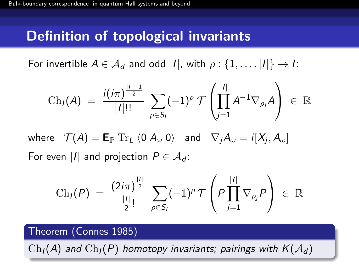### Definition of topological invariants

For invertible  $A \in \mathcal{A}_d$  and odd |I|, with  $\rho : \{1, \ldots, |I|\} \rightarrow I$ :

$$
Ch_I(A) = \frac{i(i\pi)^{\frac{|I|-1}{2}}}{|I|!!} \sum_{\rho \in S_I} (-1)^{\rho} \mathcal{T}\left(\prod_{j=1}^{|I|} A^{-1} \nabla_{\rho_j} A\right) \in \mathbb{R}
$$

where  $\mathcal{T}(A)=\mathsf{E}_{\mathbb{P}}\text{ Tr}_{L}\braket{0|A_{\omega}|0}$  and  $\nabla_{j}A_{\omega}=i[X_{j},A_{\omega}]$ For even |I| and projection  $P \in \mathcal{A}_{d}$ :

$$
\mathrm{Ch}_I(P) \;=\; \frac{(2i\pi)^{\frac{|I|}{2}}}{\frac{|I|}{2}!} \; \sum_{\rho \in S_I} (-1)^\rho \, \mathcal{T} \left(P \prod_{j=1}^{|I|} \nabla_{\rho_j} P \right) \;\in\; \mathbb{R}
$$

#### Theorem (Connes 1985)

 $\mathrm{Ch}_{I}(A)$  and  $\mathrm{Ch}_{I}(P)$  homotopy invariants; pairings with  $K(\mathcal{A}_{d})$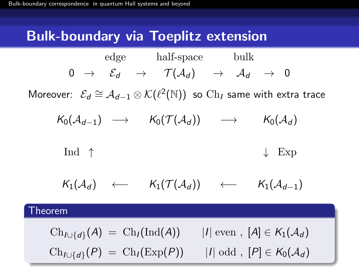## Bulk-boundary via Toeplitz extension

$$
0 \rightarrow \begin{array}{ccc} \text{edge} & \text{half-space} & \text{bulk} \\ 0 & \rightarrow & \mathcal{E}_d & \rightarrow & \mathcal{T}(\mathcal{A}_d) & \rightarrow & \mathcal{A}_d & \rightarrow & 0 \end{array}
$$

Moreover:  $\mathcal{E}_d \cong \mathcal{A}_{d-1} \otimes \mathcal{K}(\ell^2(\mathbb{N}))$  so  $\mathrm{Ch}_I$  same with extra trace

$$
K_0(\mathcal{A}_{d-1}) \longrightarrow K_0(\mathcal{T}(\mathcal{A}_d)) \longrightarrow K_0(\mathcal{A}_d)
$$

$$
\begin{array}{ccc}\n\text{Ind} & \uparrow & & \downarrow & \text{Exp}\n\end{array}
$$

$$
K_1(\mathcal{A}_d) \quad \longleftarrow \quad K_1(\mathcal{T}(\mathcal{A}_d)) \quad \longleftarrow \quad K_1(\mathcal{A}_{d-1})
$$

#### Theorem

 $\mathrm{Ch}_{I\cup\{d\}}(\mathcal{A})\;=\; \mathrm{Ch}_I(\mathrm{Ind}(\mathcal{A}))\qquad |I| \;\mathrm{even}\;,\; [\mathcal{A}]\in \mathcal{K}_1(\mathcal{A}_d)$  $\mathrm{Ch}_{I\cup\{d\}}(P) = \mathrm{Ch}_I(\mathrm{Exp}(P))$  $|I|$  odd ,  $[P] \in K_0(\mathcal{A}_d)$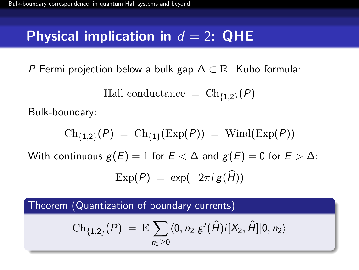## Physical implication in  $d = 2$ : QHE

P Fermi projection below a bulk gap  $\Delta \subset \mathbb{R}$ . Kubo formula:

Hall conductance  $=$  Ch<sub>{1,2}</sub> $(P)$ 

Bulk-boundary:

$$
\operatorname{Ch}_{\{1,2\}}(P) = \operatorname{Ch}_{\{1\}}(\operatorname{Exp}(P)) = \operatorname{Wind}(\operatorname{Exp}(P))
$$
  
With continuous  $g(E) = 1$  for  $E < \Delta$  and  $g(E) = 0$  for  $E > \Delta$ :  

$$
\operatorname{Exp}(P) = \exp(-2\pi i g(\widehat{H}))
$$

Theorem (Quantization of boundary currents)

$$
\mathrm{Ch}_{\{1,2\}}(P) \;=\; \mathbb{E} \sum_{n_2 \geq 0} \langle 0, n_2 | g'(\widehat{H}) i[X_2, \widehat{H}] | 0, n_2 \rangle
$$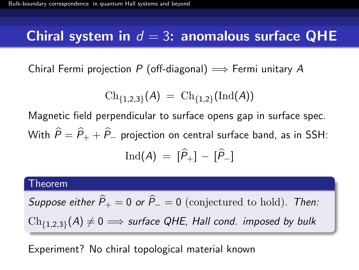## Chiral system in  $d = 3$ : anomalous surface QHE

Chiral Fermi projection P (off-diagonal)  $\implies$  Fermi unitary A

$$
\mathrm{Ch}_{\{1,2,3\}}(A) \;=\; \mathrm{Ch}_{\{1,2\}}(\mathrm{Ind}(A))
$$

Magnetic field perpendicular to surface opens gap in surface spec. With  $\widehat{P} = \widehat{P}_+ + \widehat{P}_-$  projection on central surface band, as in SSH:  $\text{Ind}(A) = [\hat{P}_+] - [\hat{P}_-]$ 

#### Theorem

Suppose either  $\hat{P}_+ = 0$  or  $\hat{P}_- = 0$  (conjectured to hold). Then:  $\operatorname{Ch}_{\{1,2,3\}}(A)\neq 0 \Longrightarrow$  surface QHE, Hall cond. imposed by bulk

Experiment? No chiral topological material known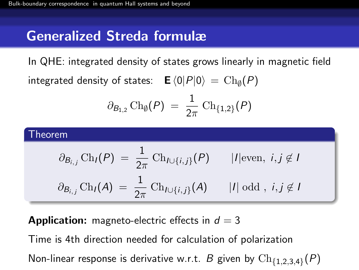## Generalized Streda formulæ

In QHE: integrated density of states grows linearly in magnetic field integrated density of states:  $\;\;\;\mathsf{E}\bra{0}P\ket{0}\;=\,\operatorname{Ch}_\emptyset(P)$ 

$$
\partial_{B_{1,2}}\operatorname{Ch}_{\emptyset}(P) \;=\; \frac{1}{2\pi}\, \operatorname{Ch}_{\{1,2\}}(P)
$$

#### Theorem

$$
\partial_{B_{i,j}} \text{Ch}_I(P) = \frac{1}{2\pi} \text{Ch}_{I \cup \{i,j\}}(P) \qquad |I| \text{even, } i, j \notin I
$$
  

$$
\partial_{B_{i,j}} \text{Ch}_I(A) = \frac{1}{2\pi} \text{Ch}_{I \cup \{i,j\}}(A) \qquad |I| \text{ odd, } i, j \notin I
$$

**Application:** magneto-electric effects in  $d = 3$ 

Time is 4th direction needed for calculation of polarization

Non-linear response is derivative w.r.t.  $B$  given by  $\mathrm{Ch}_{\{1,2,3,4\}}(P)$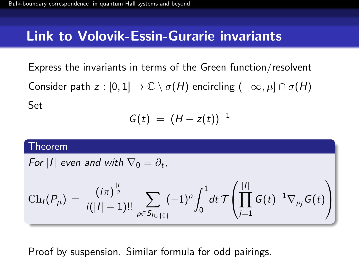#### Link to Volovik-Essin-Gurarie invariants

Express the invariants in terms of the Green function/resolvent Consider path  $z : [0,1] \to \mathbb{C} \setminus \sigma(H)$  encircling  $(-\infty, \mu] \cap \sigma(H)$ Set

$$
G(t) = (H-z(t))^{-1}
$$

#### Theorem

For 
$$
|I|
$$
 even and with  $\nabla_0 = \partial_t$ ,

$$
\operatorname{Ch}_I(P_\mu) = \frac{(i\pi)^{\frac{|I|}{2}}}{i(|I|-1)!} \sum_{\rho \in S_{I \cup \{0\}}} (-1)^\rho \int_0^1 dt \, \mathcal{T}\left(\prod_{j=1}^{|I|} G(t)^{-1} \nabla_{\rho_j} G(t)\right)
$$

Proof by suspension. Similar formula for odd pairings.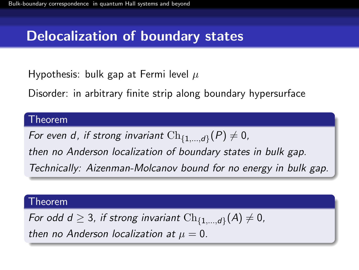## Delocalization of boundary states

Hypothesis: bulk gap at Fermi level  $\mu$ 

Disorder: in arbitrary finite strip along boundary hypersurface

#### Theorem

For even d, if strong invariant  $\mathrm{Ch}_{\{1,\ldots,d\}}(P)\neq 0$ , then no Anderson localization of boundary states in bulk gap. Technically: Aizenman-Molcanov bound for no energy in bulk gap.

#### Theorem

For odd d  $\geq$  3, if strong invariant  $\mathrm{Ch}_{\{1,...,d\}}(A) \neq 0$ , then no Anderson localization at  $\mu = 0$ .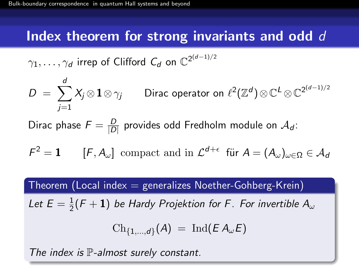#### Index theorem for strong invariants and odd d

$$
\gamma_1, \ldots, \gamma_d \text{ irrep of Clifford } C_d \text{ on } \mathbb{C}^{2^{(d-1)/2}}
$$

$$
D = \sum_{j=1}^d X_j \otimes \mathbf{1} \otimes \gamma_j
$$
 Dirac operator on  $\ell^2(\mathbb{Z}^d) \otimes \mathbb{C}^L \otimes \mathbb{C}^{2^{(d-1)/2}}$ 

Dirac phase  $F = \frac{D}{10}$  $\frac{D}{|D|}$  provides odd Fredholm module on  $\mathcal{A}_{\boldsymbol{d}}$ :

$$
\mathcal{F}^2 = \mathbf{1} \qquad [\mathcal{F}, A_{\omega}] \text{ compact and in } \mathcal{L}^{d+\epsilon} \text{ für } A = (A_{\omega})_{\omega \in \Omega} \in \mathcal{A}_d
$$

#### Theorem (Local index  $=$  generalizes Noether-Gohberg-Krein)

Let  $E=\frac{1}{2}$  $\frac{1}{2}({\mathsf{F}}+{\mathbf 1})$  be Hardy Projektion for F. For invertible  ${\mathsf A}_\omega$ 

$$
\text{Ch}_{\{1,\ldots,d\}}(A) \;=\; \text{Ind}(E\,A_\omega E)
$$

The index is  $\mathbb P$ -almost surely constant.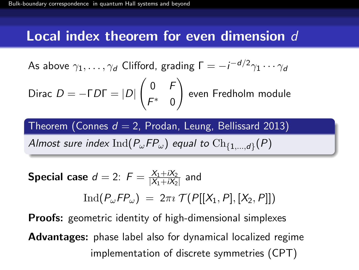### Local index theorem for even dimension  $d$

As above 
$$
\gamma_1, \ldots, \gamma_d
$$
 Clifford, grading  $\Gamma = -i^{-d/2}\gamma_1 \cdots \gamma_d$ 

Dirac 
$$
D = -\Gamma D\Gamma = |D| \begin{pmatrix} 0 & F \ F^* & 0 \end{pmatrix}
$$
 even Fredholm module

Theorem (Connes  $d = 2$ , Prodan, Leung, Bellissard 2013)

Almost sure index  $\mathrm{Ind}(P_\omega\mathsf{F} P_\omega)$  equal to  $\mathrm{Ch}_{\{1,...,d\}}(P)$ 

Special case 
$$
d = 2
$$
:  $F = \frac{X_1 + iX_2}{|X_1 + iX_2|}$  and  
\n
$$
\text{Ind}(P_{\omega}FP_{\omega}) = 2\pi i \mathcal{T}(P[[X_1, P], [X_2, P]])
$$

**Proofs:** geometric identity of high-dimensional simplexes Advantages: phase label also for dynamical localized regime implementation of discrete symmetries (CPT)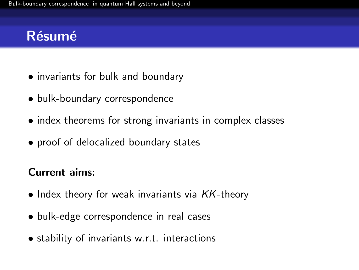## Résumé

- invariants for bulk and boundary
- bulk-boundary correspondence
- index theorems for strong invariants in complex classes
- proof of delocalized boundary states

#### Current aims:

- Index theory for weak invariants via  $KK$ -theory
- bulk-edge correspondence in real cases
- stability of invariants w.r.t. interactions